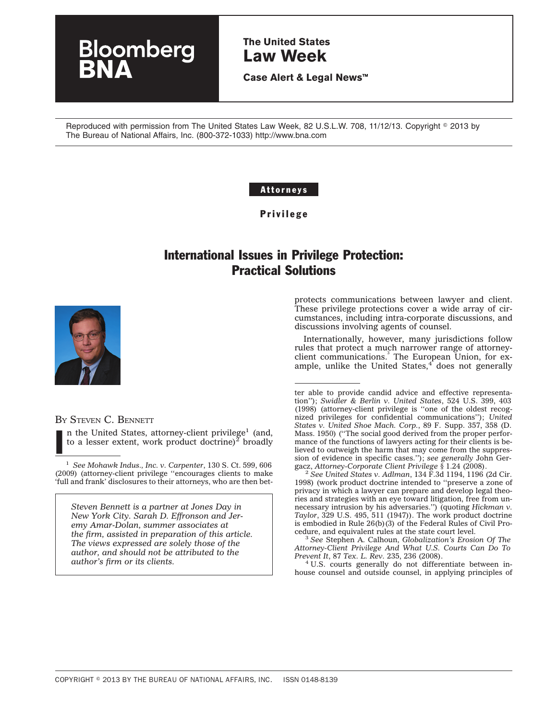# loomberg

**The United States Law Week**

**Case Alert & Legal News™**

Reproduced with permission from The United States Law Week, 82 U.S.L.W. 708, 11/12/13. Copyright © 2013 by The Bureau of National Affairs, Inc. (800-372-1033) http://www.bna.com

#### Attorneys

Privilege

# International Issues in Privilege Protection: Practical Solutions



I

BY STEVEN C. BENNETT

n the United States, attorney-client privilege<sup>1</sup> (and, to a lesser extent, work product doctrine) $^2$  broadly

<sup>1</sup> *See Mohawk Indus., Inc. v. Carpenter*, 130 S. Ct. 599, 606 (2009) (attorney-client privilege ''encourages clients to make 'full and frank' disclosures to their attorneys, who are then bet-

*Steven Bennett is a partner at Jones Day in New York City. Sarah D. Effronson and Jeremy Amar-Dolan, summer associates at the firm, assisted in preparation of this article. The views expressed are solely those of the author, and should not be attributed to the author's firm or its clients.*

protects communications between lawyer and client. These privilege protections cover a wide array of circumstances, including intra-corporate discussions, and discussions involving agents of counsel.

Internationally, however, many jurisdictions follow rules that protect a much narrower range of attorneyclient communications.<sup>3</sup> The European Union, for example, unlike the United States, $4$  does not generally

gacz, *Attorney-Corporate Client Privilege* § 1.24 (2008). <sup>2</sup> *See United States v. Adlman*, 134 F.3d 1194, 1196 (2d Cir. 1998) (work product doctrine intended to ''preserve a zone of privacy in which a lawyer can prepare and develop legal theories and strategies with an eye toward litigation, free from unnecessary intrusion by his adversaries.'') (quoting *Hickman v. Taylor*, 329 U.S. 495, 511 (1947)). The work product doctrine is embodied in Rule 26(b)(3) of the Federal Rules of Civil Pro-

cedure, and equivalent rules at the state court level. <sup>3</sup> *See* Stephen A. Calhoun, *Globalization's Erosion Of The Attorney-Client Privilege And What U.S. Courts Can Do To*

<sup>4</sup> U.S. courts generally do not differentiate between inhouse counsel and outside counsel, in applying principles of

ter able to provide candid advice and effective representation''); *Swidler & Berlin v. United States*, 524 U.S. 399, 403 (1998) (attorney-client privilege is ''one of the oldest recognized privileges for confidential communications''); *United States v. United Shoe Mach. Corp.*, 89 F. Supp. 357, 358 (D. Mass. 1950) (''The social good derived from the proper performance of the functions of lawyers acting for their clients is believed to outweigh the harm that may come from the suppression of evidence in specific cases.''); *see generally* John Ger-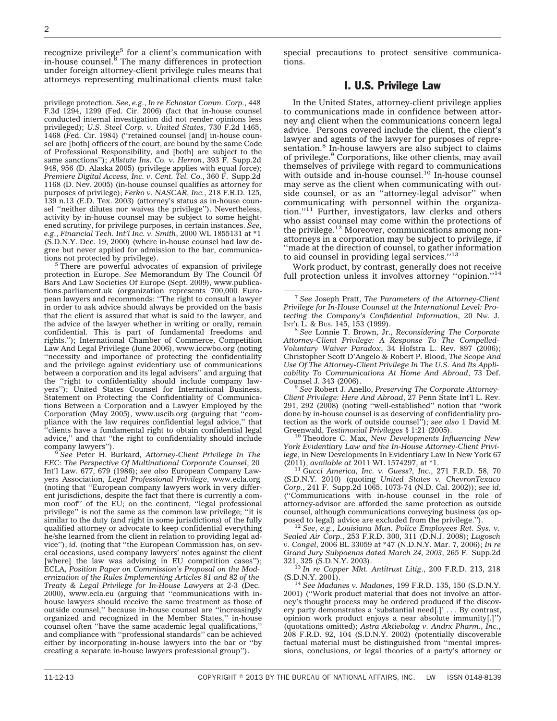recognize privilege<sup>5</sup> for a client's communication with in-house counsel.6 The many differences in protection under foreign attorney-client privilege rules means that attorneys representing multinational clients must take

privilege protection. *See*, *e.g.*, *In re Echostar Comm. Corp.*, 448 F.3d 1294, 1299 (Fed. Cir. 2006) (fact that in-house counsel conducted internal investigation did not render opinions less privileged); *U.S. Steel Corp. v. United States*, 730 F.2d 1465, 1468 (Fed. Cir. 1984) (''retained counsel [and] in-house counsel are [both] officers of the court, are bound by the same Code of Professional Responsibility, and [both] are subject to the same sanctions''); *Allstate Ins. Co. v. Herron*, 393 F. Supp.2d 948, 956 (D. Alaska 2005) (privilege applies with equal force); *Premiere Digital Access, Inc. v. Cent. Tel. Co.*, 360 F. Supp.2d 1168 (D. Nev. 2005) (in-house counsel qualifies as attorney for purposes of privilege); *Ferko v. NASCAR, Inc.*, 218 F.R.D. 125, 139 n.13 (E.D. Tex. 2003) (attorney's status as in-house counsel ''neither dilutes nor waives the privilege''). Nevertheless, activity by in-house counsel may be subject to some heightened scrutiny, for privilege purposes, in certain instances. *See*, *e.g.*, *Financial Tech. Int'l Inc. v. Smith*, 2000 WL 1855131 at \*1 (S.D.N.Y. Dec. 19, 2000) (where in-house counsel had law degree but never applied for admission to the bar, communications not protected by privilege).

<sup>5</sup> There are powerful advocates of expansion of privilege protection in Europe. *See* Memorandum By The Council Of Bars And Law Societies Of Europe (Sept. 2009), www.publications.parliament.uk (organization represents 700,000 European lawyers and recommends: ''The right to consult a lawyer in order to ask advice should always be provided on the basis that the client is assured that what is said to the lawyer, and the advice of the lawyer whether in writing or orally, remain confidential. This is part of fundamental freedoms and rights.''); International Chamber of Commerce, Competition Law And Legal Privilege (June 2006), www.iccwbo.org (noting ''necessity and importance of protecting the confidentiality and the privilege against evidentiary use of communications between a corporation and its legal advisers'' and arguing that the ''right to confidentiality should include company lawyers''); United States Counsel for International Business, Statement on Protecting the Confidentiality of Communications Between a Corporation and a Lawyer Employed by the Corporation (May 2005), www.uscib.org (arguing that ''compliance with the law requires confidential legal advice,'' that ''clients have a fundamental right to obtain confidential legal advice,'' and that ''the right to confidentiality should include

company lawyers''). <sup>6</sup> *See* Peter H. Burkard, *Attorney-Client Privilege In The EEC: The Perspective Of Multinational Corporate Counsel*, 20 Int'l Law. 677, 679 (1986); *see also* European Company Lawyers Association, *Legal Professional Privilege*, www.ecla.org (noting that ''European company lawyers work in very different jurisdictions, despite the fact that there is currently a common roof'' of the EU; on the continent, ''legal professional privilege'' is not the same as the common law privilege; ''it is similar to the duty (and right in some jurisdictions) of the fully qualified attorney or advocate to keep confidential everything he/she learned from the client in relation to providing legal advice''); *id.* (noting that ''the European Commission has, on several occasions, used company lawyers' notes against the client [where] the law was advising in EU competition cases"); ECLA, *Position Paper on Commission's Proposal on the Modernization of the Rules Implementing Articles 81 and 82 of the Treaty & Legal Privilege for In-House Lawyers* at 2-3 (Dec. 2000), www.ecla.eu (arguing that ''communications with inhouse lawyers should receive the same treatment as those of outside counsel,'' because in-house counsel are ''increasingly organized and recognized in the Member States,'' in-house counsel often ''have the same academic legal qualifications,'' and compliance with ''professional standards'' can be achieved either by incorporating in-house lawyers into the bar or ''by creating a separate in-house lawyers professional group'').

special precautions to protect sensitive communications.

#### I. U.S. Privilege Law

In the United States, attorney-client privilege applies to communications made in confidence between attorney and client when the communications concern legal advice.<sup>7</sup> Persons covered include the client, the client's lawyer and agents of the lawyer for purposes of representation.<sup>8</sup> In-house lawyers are also subject to claims of privilege.<sup>9</sup> Corporations, like other clients, may avail themselves of privilege with regard to communications with outside and in-house counsel.<sup>10</sup> In-house counsel may serve as the client when communicating with outside counsel, or as an ''attorney-legal advisor'' when communicating with personnel within the organization."<sup>11</sup> Further, investigators, law clerks and others who assist counsel may come within the protections of the privilege.<sup>12</sup> Moreover, communications among nonattorneys in a corporation may be subject to privilege, if ''made at the direction of counsel, to gather information to aid counsel in providing legal services.''13

Work product, by contrast, generally does not receive full protection unless it involves attorney "opinion."<sup>14</sup>

Counsel J. 343 (2006). <sup>9</sup> *See* Robert J. Anello, *Preserving The Corporate Attorney-Client Privilege: Here And Abroad*, 27 Penn State Int'l L. Rev. 291, 292 (2008) (noting ''well-established'' notion that ''work done by in-house counsel is as deserving of confidentiality protection as the work of outside counsel''); *see also* 1 David M.

<sup>10</sup> Theodore C. Max, *New Developments Influencing New York Evidentiary Law and the In-House Attorney-Client Privilege*, in New Developments In Evidentiary Law In New York 67

<sup>11</sup> *Gucci America, Inc. v. Guess?, Inc., 271 F.R.D. 58, 70* (S.D.N.Y. 2010) (quoting *United States v. ChevronTexaco Corp.*, 241 F. Supp.2d 1065, 1073-74 (N.D. Cal. 2002)); *see id.* (''Communications with in-house counsel in the role of attorney-advisor are afforded the same protection as outside counsel, although communications conveying business (as op-<br>posed to legal) advice are excluded from the privilege.").

<sup>12</sup> See, e.g., Louisiana Mun. Police Employees Ret. Sys. v. *Sealed Air Corp.*, 253 F.R.D. 300, 311 (D.N.J. 2008); *Lugosch v. Congel*, 2006 BL 33059 at \*47 (N.D.N.Y. Mar. 7, 2006); *In re Grand Jury Subpoenas dated March 24, 2003*, 265 F. Supp.2d

<sup>13</sup> In re Copper Mkt. Antitrust Litig., 200 F.R.D. 213, 218 (S.D.N.Y. 2001).

<sup>14</sup> See Madanes v. Madanes, 199 F.R.D. 135, 150 (S.D.N.Y. 2001) (''Work product material that does not involve an attorney's thought process may be ordered produced if the discovery party demonstrates a 'substantial need[.]' . . . By contrast, opinion work product enjoys a near absolute immunity[.]'') (quotations omitted); *Astra Aktiebolag v. Andrx Pharm., Inc.*, 208 F.R.D. 92, 104 (S.D.N.Y. 2002) (potentially discoverable factual material must be distinguished from ''mental impressions, conclusions, or legal theories of a party's attorney or

<sup>7</sup> *See* Joseph Pratt, *The Parameters of the Attorney-Client Privilege for In-House Counsel at the International Level: Protecting the Company's Confidential Information*, 20 NW. J.

<sup>&</sup>lt;sup>8</sup> See Lonnie T. Brown, Jr., *Reconsidering The Corporate Attorney-Client Privilege: A Response To The Compelled-Voluntary Waiver Paradox*, 34 Hofstra L. Rev. 897 (2006); Christopher Scott D'Angelo & Robert P. Blood, *The Scope And Use Of The Attorney-Client Privilege In The U.S. And Its Applicability To Communications At Home And Abroad*, 73 Def.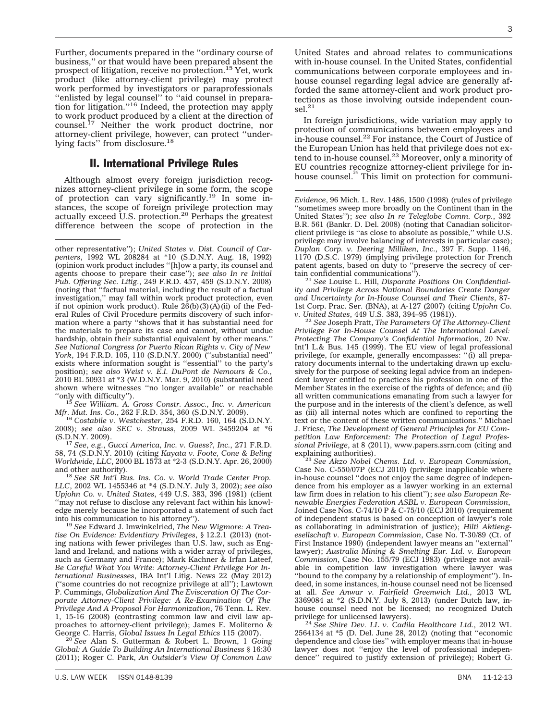Further, documents prepared in the ''ordinary course of business,'' or that would have been prepared absent the prospect of litigation, receive no protection.15 Yet, work product (like attorney-client privilege) may protect work performed by investigators or paraprofessionals "enlisted by legal counsel" to "aid counsel in preparation for litigation.''16 Indeed, the protection may apply to work product produced by a client at the direction of counsel.<sup>17</sup> Neither the work product doctrine, nor attorney-client privilege, however, can protect ''underlying facts" from disclosure.<sup>18</sup>

#### II. International Privilege Rules

Although almost every foreign jurisdiction recognizes attorney-client privilege in some form, the scope of protection can vary significantly.19 In some instances, the scope of foreign privilege protection may actually exceed U.S. protection.<sup>20</sup> Perhaps the greatest difference between the scope of protection in the

<sup>15</sup> See William. A. Gross Constr. Assoc., Inc. v. American

*Mfr. Mut. Ins. Co.*, 262 F.R.D. 354, 360 (S.D.N.Y. 2009). <sup>16</sup> *Costabile v. Westchester*, 254 F.R.D. 160, 164 (S.D.N.Y. 2008); *see also SEC v. Strauss*, 2009 WL 3459204 at \*6

(S.D.N.Y. 2009). <sup>17</sup> *See*, *e.g.*, *Gucci America, Inc. v. Guess?, Inc.*, 271 F.R.D. 58, 74 (S.D.N.Y. 2010) (citing *Kayata v. Foote, Cone & Beling Worldwide, LLC*, 2000 BL 1573 at \*2-3 (S.D.N.Y. Apr. 26, 2000) and other authority). <sup>18</sup> *See SR Int'l Bus. Ins. Co. v. World Trade Center Prop.*

*LLC*, 2002 WL 1455346 at \*4 (S.D.N.Y. July 3, 2002); *see also Upjohn Co. v. United States*, 449 U.S. 383, 396 (1981) (client ''may not refuse to disclose any relevant fact within his knowledge merely because he incorporated a statement of such fact into his communication to his attorney''). <sup>19</sup> *See* Edward J. Imwinkelried, *The New Wigmore: A Trea-*

*tise On Evidence: Evidentiary Privileges*, § 12.2.1 (2013) (noting nations with fewer privileges than U.S. law, such as England and Ireland, and nations with a wider array of privileges, such as Germany and France); Mark Kachner & Irfan Lateef, *Be Careful What You Write: Attorney-Client Privilege For International Businesses*, IBA Int'l Litig. News 22 (May 2012) (''some countries do not recognize privilege at all''); Lawtown P. Cummings, *Globalization And The Evisceration Of The Corporate Attorney-Client Privilege: A Re-Examination Of The Privilege And A Proposal For Harmonization*, 76 Tenn. L. Rev. 1, 15-16 (2008) (contrasting common law and civil law approaches to attorney-client privilege); James E. Moliterno & George C. Harris, Global Issues In Legal Ethics 115 (2007).

<sup>20</sup> See Alan S. Gutterman & Robert L. Brown, 1 Going *Global: A Guide To Building An International Business* § 16:30 (2011); Roger C. Park, *An Outsider's View Of Common Law*

United States and abroad relates to communications with in-house counsel. In the United States, confidential communications between corporate employees and inhouse counsel regarding legal advice are generally afforded the same attorney-client and work product protections as those involving outside independent coun- $\text{sel.}^{21}$ 

In foreign jurisdictions, wide variation may apply to protection of communications between employees and in-house counsel.22 For instance, the Court of Justice of the European Union has held that privilege does not extend to in-house counsel.<sup>23</sup> Moreover, only a minority of EU countries recognize attorney-client privilege for inhouse counsel.<sup>24</sup> This limit on protection for communi-

<sup>21</sup> See Louise L. Hill, *Disparate Positions On Confidentiality and Privilege Across National Boundaries Create Danger and Uncertainty for In-House Counsel and Their Clients*, 87- 1st Corp. Prac. Ser. (BNA), at A-127 (2007) (citing *Upjohn Co.*

<sup>22</sup> See Joseph Pratt, *The Parameters Of The Attorney-Client Privilege For In-House Counsel At The International Level: Protecting The Company's Confidential Information*, 20 Nw. Int'l L.& Bus. 145 (1999). The EU view of legal professional privilege, for example, generally encompasses: ''(i) all preparatory documents internal to the undertaking drawn up exclusively for the purpose of seeking legal advice from an independent lawyer entitled to practices his profession in one of the Member States in the exercise of the rights of defence; and (ii) all written communications emanating from such a lawyer for the purpose and in the interests of the client's defence, as well as (iii) all internal notes which are confined to reporting the text or the content of these written communications.'' Michael J. Friese, *The Development of General Principles for EU Competition Law Enforcement: The Protection of Legal Professional Privilege*, at 8 (2011), www.papers.ssrn.com (citing and explaining authorities). <sup>23</sup> *See Akzo Nobel Chems. Ltd. v. European Commission*,

Case No. C-550/07P (ECJ 2010) (privilege inapplicable where in-house counsel ''does not enjoy the same degree of independence from his employer as a lawyer working in an external law firm does in relation to his client''); *see also European Renewable Energies Federation ASBL v. European Commission*, Joined Case Nos. C-74/10 P & C-75/10 (ECJ 2010) (requirement of independent status is based on conception of lawyer's role as collaborating in administration of justice); *Hilti Aktiengesellschaft v. European Commission*, Case No. T-30/89 (Ct. of First Instance 1990) (independent lawyer means an ''external'' lawyer); *Australia Mining & Smelting Eur. Ltd. v. European Commission*, Case No. 155/79 (ECJ 1983) (privilege not available in competition law investigation where lawyer was ''bound to the company by a relationship of employment''). Indeed, in some instances, in-house counsel need not be licensed at all. *See Anwar v. Fairfield Greenwich Ltd.*, 2013 WL 3369084 at \*2 (S.D.N.Y. July 8, 2013) (under Dutch law, inhouse counsel need not be licensed; no recognized Dutch privilege for unlicensed lawyers).

privilege for unlicensed lawyers). <sup>24</sup> *See Shire Dev. LL v. Cadila Healthcare Ltd.*, 2012 WL 2564134 at \*5 (D. Del. June 28, 2012) (noting that ''economic dependence and close ties'' with employer means that in-house lawyer does not ''enjoy the level of professional independence'' required to justify extension of privilege); Robert G.

other representative''); *United States v. Dist. Council of Carpenters*, 1992 WL 208284 at \*10 (S.D.N.Y. Aug. 18, 1992) (opinion work product includes ''[h]ow a party, its counsel and agents choose to prepare their case''); *see also In re Initial Pub. Offering Sec. Litig.*, 249 F.R.D. 457, 459 (S.D.N.Y. 2008) (noting that ''factual material, including the result of a factual investigation,'' may fall within work product protection, even if not opinion work product). Rule  $26(b)(3)(A)(ii)$  of the Federal Rules of Civil Procedure permits discovery of such information where a party ''shows that it has substantial need for the materials to prepare its case and cannot, without undue hardship, obtain their substantial equivalent by other means.'' *See National Congress for Puerto Rican Rights v. City of New York*, 194 F.R.D. 105, 110 (S.D.N.Y. 2000) (''substantial need'' exists where information sought is ''essential'' to the party's position); *see also Weist v. E.I. DuPont de Nemours & Co.*, 2010 BL 50931 at \*3 (W.D.N.Y. Mar. 9, 2010) (substantial need shown where witnesses "no longer available" or reachable "only with difficulty").

*Evidence*, 96 Mich. L. Rev. 1486, 1500 (1998) (rules of privilege ''sometimes sweep more broadly on the Continent than in the United States''); *see also In re Teleglobe Comm. Corp.*, 392 B.R. 561 (Bankr. D. Del. 2008) (noting that Canadian solicitorclient privilege is ''as close to absolute as possible,'' while U.S. privilege may involve balancing of interests in particular case); *Duplan Corp. v. Deering Milliken, Inc.*, 397 F. Supp. 1146, 1170 (D.S.C. 1979) (implying privilege protection for French patent agents, based on duty to "preserve the secrecy of certain confidential communications").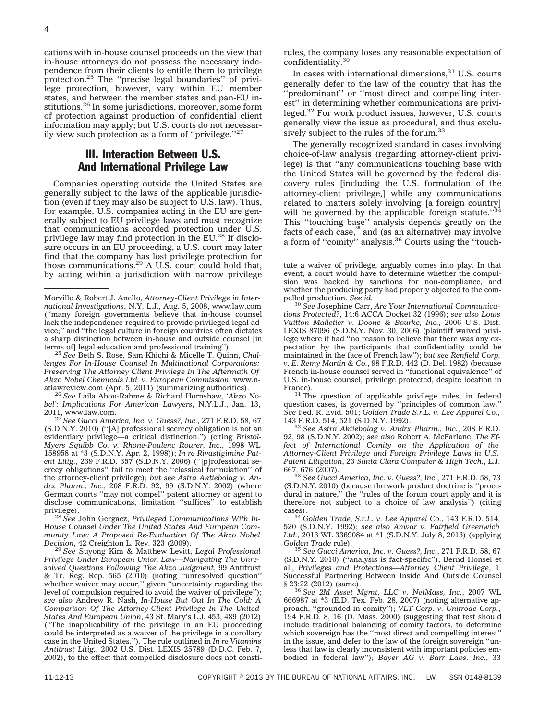cations with in-house counsel proceeds on the view that in-house attorneys do not possess the necessary independence from their clients to entitle them to privilege protection.25 The ''precise legal boundaries'' of privilege protection, however, vary within EU member states, and between the member states and pan-EU institutions.<sup>26</sup> In some jurisdictions, moreover, some form of protection against production of confidential client information may apply; but U.S. courts do not necessarily view such protection as a form of ''privilege.''27

### III. Interaction Between U.S. And International Privilege Law

Companies operating outside the United States are generally subject to the laws of the applicable jurisdiction (even if they may also be subject to U.S. law). Thus, for example, U.S. companies acting in the EU are generally subject to EU privilege laws and must recognize that communications accorded protection under U.S. privilege law may find protection in the EU.28 If disclosure occurs in an EU proceeding, a U.S. court may later find that the company has lost privilege protection for those communications.29 A U.S. court could hold that, by acting within a jurisdiction with narrow privilege

<sup>25</sup> See Beth S. Rose, Sam Khichi & Micelle T. Quinn, *Challenges For In-House Counsel In Multinational Corporations: Preserving The Attorney Client Privilege In The Aftermath Of Akzo Nobel Chemicals Ltd. v. European Commission*, www.n-

<sup>26</sup> See Laila Abou-Rahme & Richard Hornshaw, 'Akzo No*bel': Implications For American Lawyers*, N.Y.L.J., Jan. 13,

2011, www.law.com. <sup>27</sup> *See Gucci America, Inc. v. Guess?, Inc.*, 271 F.R.D. 58, 67 (S.D.N.Y. 2010) (''[A] professional secrecy obligation is not an evidentiary privilege—a critical distinction.'') (citing *Bristol-Myers Squibb Co. v. Rhone-Poulenc Rourer, Inc.*, 1998 WL 158958 at \*3 (S.D.N.Y. Apr. 2, 1998)); *In re Rivastigimine Patent Litig.*, 239 F.R.D. 357 (S.D.N.Y. 2006) (''[p]rofessional secrecy obligations'' fail to meet the ''classical formulation'' of the attorney-client privilege); *but see Astra Aktiebolag v. Andrx Pharm., Inc.*, 208 F.R.D. 92, 99 (S.D.N.Y. 2002) (where German courts ''may not compel'' patent attorney or agent to disclose communications, limitation ''suffices'' to establish

privilege). <sup>28</sup> *See* John Gergacz, *Privileged Communications With In-House Counsel Under The United States And European Community Law: A Proposed Re-Evaluation Of The Akzo Nobel Decision*, 42 Creighton L. Rev. 323 (2009). <sup>29</sup> *See* Suyong Kim & Matthew Levitt, *Legal Professional*

*Privilege Under European Union Law—Navigating The Unresolved Questions Following The Akzo Judgment*, 99 Antitrust & Tr. Reg. Rep. 565 (2010) (noting ''unresolved question'' whether waiver may occur," given "uncertainty regarding the level of compulsion required to avoid the waiver of privilege''); *see also* Andrew R. Nash, *In-House But Out In The Cold: A Comparison Of The Attorney-Client Privilege In The United States And European Union*, 43 St. Mary's L.J. 453, 489 (2012) (''The inapplicability of the privilege in an EU proceeding could be interpreted as a waiver of the privilege in a corollary case in the United States.''). The rule outlined in *In re Vitamins Antitrust Litig.*, 2002 U.S. Dist. LEXIS 25789 (D.D.C. Feb. 7, 2002), to the effect that compelled disclosure does not constirules, the company loses any reasonable expectation of confidentiality.30

In cases with international dimensions, $31$  U.S. courts generally defer to the law of the country that has the ''predominant'' or ''most direct and compelling interest'' in determining whether communications are privileged.<sup>32</sup> For work product issues, however, U.S. courts generally view the issue as procedural, and thus exclusively subject to the rules of the forum.<sup>33</sup>

The generally recognized standard in cases involving choice-of-law analysis (regarding attorney-client privilege) is that ''any communications touching base with the United States will be governed by the federal discovery rules [including the U.S. formulation of the attorney-client privilege,] while any communications related to matters solely involving [a foreign country] will be governed by the applicable foreign statute."<sup>3</sup> This ''touching base'' analysis depends greatly on the facts of each case," and (as an alternative) may involve a form of ''comity'' analysis.36 Courts using the ''touch-

France). <sup>31</sup> The question of applicable privilege rules, in federal question cases, is governed by ''principles of common law.'' *See* Fed. R. Evid. 501; *Golden Trade S.r.L. v. Lee Apparel Co.*,

<sup>32</sup> See Astra Aktiebolag v. Andrx Pharm., Inc., 208 F.R.D. 92, 98 (S.D.N.Y. 2002); *see also* Robert A. McFarlane, *The Effect of International Comity on the Application of the Attorney-Client Privilege and Foreign Privilege Laws in U.S. Patent Litigation*, 23 *Santa Clara Computer & High Tech.*, L.J. 667, 676 (2007). <sup>33</sup> *See Gucci America, Inc. v. Guess?, Inc.*, 271 F.R.D. 58, 73

(S.D.N.Y. 2010) (because the work product doctrine is ''procedural in nature,'' the ''rules of the forum court apply and it is therefore not subject to a choice of law analysis'') (citing

cases). <sup>34</sup> *Golden Trade, S.r.L. v. Lee Apparel Co.*, 143 F.R.D. 514, 520 (S.D.N.Y. 1992); *see also Anwar v. Fairfield Greenwich Ltd.*, 2013 WL 3369084 at \*1 (S.D.N.Y. July 8, 2013) (applying

<sup>35</sup> See Gucci America, Inc. v. Guess?, Inc., 271 F.R.D. 58, 67 (S.D.N.Y. 2010) (''analysis is fact-specific''); Bernd Honsel et al., *Privileges and Protections—Attorney Client Privilege*, 1 Successful Partnering Between Inside And Outside Counsel § 23:22 (2012) (same).

<sup>36</sup> See 2M Asset Mgmt, LLC v. NetMass, Inc., 2007 WL 666987 at \*3 (E.D. Tex. Feb. 28, 2007) (noting alternative approach, ''grounded in comity''); *VLT Corp. v. Unitrode Corp.*, 194 F.R.D. 8, 16 (D. Mass. 2000) (suggesting that test should include traditional balancing of comity factors, to determine which sovereign has the ''most direct and compelling interest'' in the issue, and defer to the law of the foreign sovereign ''unless that law is clearly inconsistent with important policies embodied in federal law''); *Bayer AG v. Barr Labs. Inc.*, 33

Morvillo & Robert J. Anello, *Attorney-Client Privilege in International Investigations*, N.Y. L.J., Aug. 5, 2008, www.law.com (''many foreign governments believe that in-house counsel lack the independence required to provide privileged legal advice;'' and ''the legal culture in foreign countries often dictates a sharp distinction between in-house and outside counsel [in

tute a waiver of privilege, arguably comes into play. In that event, a court would have to determine whether the compulsion was backed by sanctions for non-compliance, and whether the producing party had properly objected to the compelled production. See id.

<sup>&</sup>lt;sup>30</sup> See Josephine Carr, *Are Your International Communications Protected?*, 14:6 ACCA Docket 32 (1996); *see also Louis Vuitton Malletier v. Doone & Bourke, Inc.*, 2006 U.S. Dist. LEXIS 87096 (S.D.N.Y. Nov. 30, 2006) (plaintiff waived privilege where it had ''no reason to believe that there was any expectation by the participants that confidentiality could be maintained in the face of French law''); *but see Renfield Corp. v. E. Remy Martin & Co.*, 98 F.R.D. 442 (D. Del. 1982) (because French in-house counsel served in ''functional equivalence'' of U.S. in-house counsel, privilege protected, despite location in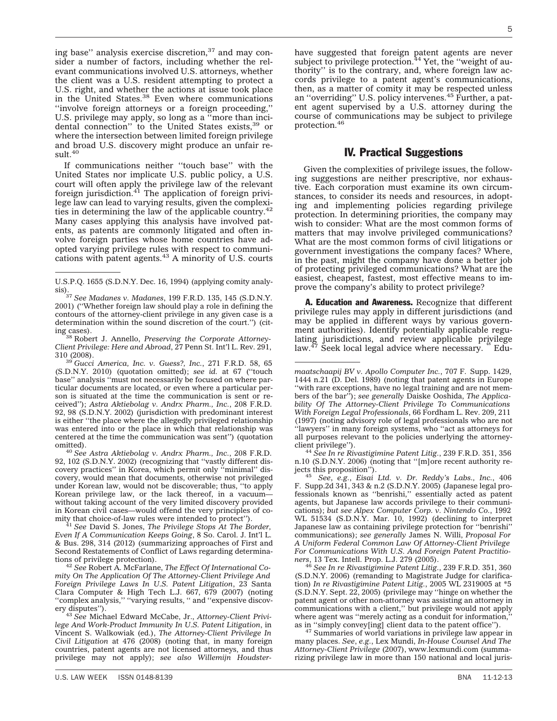ing base" analysis exercise discretion,<sup>37</sup> and may consider a number of factors, including whether the relevant communications involved U.S. attorneys, whether the client was a U.S. resident attempting to protect a U.S. right, and whether the actions at issue took place in the United States.<sup>38</sup> Even where communications ''involve foreign attorneys or a foreign proceeding,'' U.S. privilege may apply, so long as a ''more than incidental connection" to the United States exists,<sup>39</sup> or where the intersection between limited foreign privilege and broad U.S. discovery might produce an unfair result.<sup>40</sup>

If communications neither ''touch base'' with the United States nor implicate U.S. public policy, a U.S. court will often apply the privilege law of the relevant<br>foreign jurisdiction.<sup>41</sup> The application of foreign privilege law can lead to varying results, given the complexities in determining the law of the applicable country.<sup>42</sup> Many cases applying this analysis have involved patents, as patents are commonly litigated and often involve foreign parties whose home countries have adopted varying privilege rules with respect to communications with patent agents.<sup>43</sup> A minority of U.S. courts

<sup>38</sup> Robert J. Annello, *Preserving the Corporate Attorney-Client Privilege: Here and Abroad*, 27 Penn St. Int'l L. Rev. 291,

<sup>39</sup> *Gucci America, Inc. v. Guess?, Inc., 271 F.R.D. 58, 65* (S.D.N.Y. 2010) (quotation omitted); *see id.* at 67 (''touch base'' analysis ''must not necessarily be focused on where particular documents are located, or even where a particular person is situated at the time the communication is sent or received''); *Astra Aktiebolag v. Andrx Pharm., Inc.*, 208 F.R.D. 92, 98 (S.D.N.Y. 2002) (jurisdiction with predominant interest is either ''the place where the allegedly privileged relationship was entered into or the place in which that relationship was centered at the time the communication was sent'') (quotation

omitted). <sup>40</sup> *See Astra Aktiebolag v. Andrx Pharm., Inc.*, 208 F.R.D. 92, 102 (S.D.N.Y. 2002) (recognizing that ''vastly different discovery practices'' in Korea, which permit only ''minimal'' discovery, would mean that documents, otherwise not privileged under Korean law, would not be discoverable; thus, ''to apply Korean privilege law, or the lack thereof, in a vacuum without taking account of the very limited discovery provided in Korean civil cases—would offend the very principles of comity that choice-of-law rules were intended to protect''). <sup>41</sup> *See* David S. Jones, *The Privilege Stops At The Border,*

*Even If A Communication Keeps Going*, 8 So. Carol. J. Int'l L. & Bus. 298, 314 (2012) (summarizing approaches of First and Second Restatements of Conflict of Laws regarding determinations of privilege protection).

<sup>42</sup> See Robert A. McFarlane, *The Effect Of International Comity On The Application Of The Attorney-Client Privilege And Foreign Privilege Laws In U.S. Patent Litigation*, 23 Santa Clara Computer & High Tech L.J. 667, 679 (2007) (noting ''complex analysis,'' ''varying results, '' and ''expensive discov-

ery disputes''). <sup>43</sup> *See* Michael Edward McCabe, Jr., *Attorney-Client Privilege And Work-Product Immunity In U.S. Patent Litigation*, in Vincent S. Walkowiak (ed.), *The Attorney-Client Privilege In Civil Litigation* at 476 (2008) (noting that, in many foreign countries, patent agents are not licensed attorneys, and thus privilege may not apply); *see also Willemijn Houdster-*

have suggested that foreign patent agents are never<br>subject to privilege protection.<sup>44</sup> Yet, the "weight of authority'' is to the contrary, and, where foreign law accords privilege to a patent agent's communications, then, as a matter of comity it may be respected unless an "overriding" U.S. policy intervenes.<sup>45</sup> Further, a patent agent supervised by a U.S. attorney during the course of communications may be subject to privilege protection.46

#### IV. Practical Suggestions

Given the complexities of privilege issues, the following suggestions are neither prescriptive, nor exhaustive. Each corporation must examine its own circumstances, to consider its needs and resources, in adopting and implementing policies regarding privilege protection. In determining priorities, the company may wish to consider: What are the most common forms of matters that may involve privileged communications? What are the most common forms of civil litigations or government investigations the company faces? Where, in the past, might the company have done a better job of protecting privileged communications? What are the easiest, cheapest, fastest, most effective means to improve the company's ability to protect privilege?

**A. Education and Awareness.** Recognize that different privilege rules may apply in different jurisdictions (and may be applied in different ways by various government authorities). Identify potentially applicable regulating jurisdictions, and review applicable privilege<br>law.<sup>47</sup> Seek local legal advice where necessary. " Edu-

client privilege''). <sup>44</sup> *See In re Rivastigimine Patent Litig.*, 239 F.R.D. 351, 356 n.10 (S.D.N.Y. 2006) (noting that "[m]ore recent authority re-<br>jects this proposition").<br> $^{45}$  See a.g.s. Figgi Itd. W. Dr. Beddy's Lebe Inc. 406

jects this proposition''). <sup>45</sup> *See*, *e.g.*, *Eisai Ltd. v. Dr. Reddy's Labs., Inc.*, 406 F. Supp.2d 341, 343 & n.2 (S.D.N.Y. 2005) (Japanese legal professionals known as ''benrishi,'' essentially acted as patent agents, but Japanese law accords privilege to their communications); *but see Alpex Computer Corp. v. Nintendo Co.*, 1992 WL 51534 (S.D.N.Y. Mar. 10, 1992) (declining to interpret Japanese law as containing privilege protection for ''benrishi'' communications); *see generally* James N. Willi, *Proposal For A Uniform Federal Common Law Of Attorney-Client Privilege For Communications With U.S. And Foreign Patent Practitioners*, 13 Tex. Intell. Prop. L.J. 279 (2005).

<sup>46</sup> *See In re Rivastigimine Patent Litig.*, 239 F.R.D. 351, 360 (S.D.N.Y. 2006) (remanding to Magistrate Judge for clarification) *In re Rivastigimine Patent Litig.*, 2005 WL 2319005 at \*5 (S.D.N.Y. Sept. 22, 2005) (privilege may ''hinge on whether the patent agent or other non-attorney was assisting an attorney in communications with a client,'' but privilege would not apply where agent was "merely acting as a conduit for information, as in "simply convey[ing] client data to the patent office").

<sup>47</sup> Summaries of world variations in privilege law appear in many places. *See*, *e.g.*, Lex Mundi, *In-House Counsel And The Attorney-Client Privilege* (2007), www.lexmundi.com (summarizing privilege law in more than 150 national and local juris-

U.S.P.Q. 1655 (S.D.N.Y. Dec. 16, 1994) (applying comity analy-

sis).37 *See Madanes v. Madanes*, 199 F.R.D. 135, 145 (S.D.N.Y. 2001) (''Whether foreign law should play a role in defining the contours of the attorney-client privilege in any given case is a determination within the sound discretion of the court.'') (cit-

*maatschaapij BV v. Apollo Computer Inc.*, 707 F. Supp. 1429, 1444 n.21 (D. Del. 1989) (noting that patent agents in Europe ''with rare exceptions, have no legal training and are not members of the bar''); *see generally* Daiske Ooshida, *The Applicability Of The Attorney-Client Privilege To Communications With Foreign Legal Professionals*, 66 Fordham L. Rev. 209, 211 (1997) (noting advisory role of legal professionals who are not ''lawyers'' in many foreign systems, who ''act as attorneys for all purposes relevant to the policies underlying the attorney-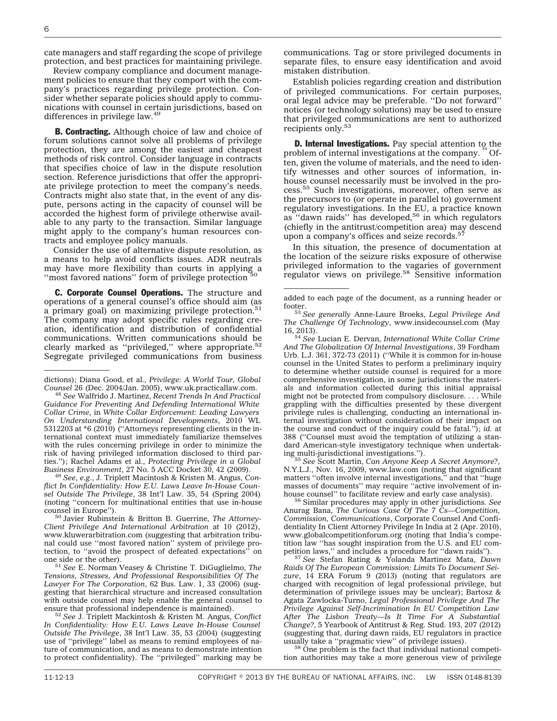cate managers and staff regarding the scope of privilege protection, and best practices for maintaining privilege.

Review company compliance and document management policies to ensure that they comport with the company's practices regarding privilege protection. Consider whether separate policies should apply to communications with counsel in certain jurisdictions, based on differences in privilege law.49

**B. Contracting.** Although choice of law and choice of forum solutions cannot solve all problems of privilege protection, they are among the easiest and cheapest methods of risk control. Consider language in contracts that specifies choice of law in the dispute resolution section. Reference jurisdictions that offer the appropriate privilege protection to meet the company's needs. Contracts might also state that, in the event of any dispute, persons acting in the capacity of counsel will be accorded the highest form of privilege otherwise available to any party to the transaction. Similar language might apply to the company's human resources contracts and employee policy manuals.

Consider the use of alternative dispute resolution, as a means to help avoid conflicts issues. ADR neutrals may have more flexibility than courts in applying a "most favored nations" form of privilege protection

C. Corporate Counsel Operations. The structure and operations of a general counsel's office should aim (as a primary goal) on maximizing privilege protection.<sup>51</sup> The company may adopt specific rules regarding creation, identification and distribution of confidential communications. Written communications should be clearly marked as "privileged," where appropriate.<sup>52</sup> Segregate privileged communications from business

*flict In Confidentiality: How E.U. Laws Leave In-House Counsel Outside The Privilege*, 38 Int'l Law. 35, 54 (Spring 2004) (noting "concern for multinational entities that use in-house counsel in Europe").

<sup>50</sup> Javier Rubinstein & Britton B. Guerrine, *The Attorney-Client Privilege And International Arbitration* at 10 (2012), www.kluwerarbitration.com (suggesting that arbitration tribunal could use ''most favored nation'' system of privilege protection, to "avoid the prospect of defeated expectations" on one side or the other).

<sup>51</sup> See E. Norman Veasey & Christine T. DiGuglielmo, *The Tensions, Stresses, And Professional Responsibilities Of The Lawyer For The Corporation*, 62 Bus. Law. 1, 33 (2006) (suggesting that hierarchical structure and increased consultation with outside counsel may help enable the general counsel to

ensure that professional independence is maintained). <sup>52</sup> *See* J. Triplett Mackintosh & Kristen M. Angus, *Conflict In Confidentiality: How E.U. Laws Leave In-House Counsel Outside The Privilege*, 38 Int'l Law. 35, 53 (2004) (suggesting use of ''privilege'' label as means to remind employees of nature of communication, and as means to demonstrate intention to protect confidentiality). The ''privileged'' marking may be communications. Tag or store privileged documents in separate files, to ensure easy identification and avoid mistaken distribution.

Establish policies regarding creation and distribution of privileged communications. For certain purposes, oral legal advice may be preferable. ''Do not forward'' notices (or technology solutions) may be used to ensure that privileged communications are sent to authorized recipients only.<sup>53</sup>

**D. Internal Investigations.** Pay special attention to the problem of internal investigations at the company. <sup>6</sup> Often, given the volume of materials, and the need to identify witnesses and other sources of information, inhouse counsel necessarily must be involved in the process.<sup>55</sup> Such investigations, moreover, often serve as the precursors to (or operate in parallel to) government regulatory investigations. In the EU, a practice known as "dawn raids" has developed,<sup>56</sup> in which regulators (chiefly in the antitrust/competition area) may descend upon a company's offices and seize records.<sup>57</sup>

In this situation, the presence of documentation at the location of the seizure risks exposure of otherwise privileged information to the vagaries of government<br>regulator views on privilege.<sup>58</sup> Sensitive information

16, 2013). <sup>54</sup> *See* Lucian E. Dervan, *International White Collar Crime And The Globalization Of Internal Investigations*, 39 Fordham Urb. L.J. 361, 372-73 (2011) (''While it is common for in-house counsel in the United States to perform a preliminary inquiry to determine whether outside counsel is required for a more comprehensive investigation, in some jurisdictions the materials and information collected during this initial appraisal might not be protected from compulsory disclosure. . . . While grappling with the difficulties presented by these divergent privilege rules is challenging, conducting an international internal investigation without consideration of their impact on the course and conduct of the inquiry could be fatal.''); *id.* at 388 (''Counsel must avoid the temptation of utilizing a standard American-style investigatory technique when undertaking multi-jurisdictional investigations.").

ing multi-jurisdictional investigations.''). <sup>55</sup> *See* Scott Martin, *Can Anyone Keep A Secret Anymore?*, N.Y.L.J., Nov. 16, 2009, www.law.com (noting that significant matters ''often involve internal investigations,'' and that ''huge masses of documents'' may require ''active involvement of in-

house counsel'' to facilitate review and early case analysis). <sup>56</sup> Similar procedures may apply in other jurisdictions. *See* Anurag Bana, *The Curious Case Of The 7 Cs—Competition, Commission, Communications*, Corporate Counsel And Confidentiality In Client Attorney Privilege In India at 2 (Apr. 2010), www.globalcompetitionforum.org (noting that India's competition law "has sought inspiration from the U.S. and EU competition laws," and includes a procedure for "dawn raids").

<sup>57</sup> See Stefan Rating & Yolanda Martinez Mata, *Dawn Raids Of The European Commission: Limits To Document Seizure*, 14 ERA Forum 9 (2013) (noting that regulators are charged with recognition of legal professional privilege, but determination of privilege issues may be unclear); Bartosz & Agata Zawlocka-Turno, *Legal Professional Privilege And The Privilege Against Self-Incrimination In EU Competition Law After The Lisbon Treaty—Is It Time For A Substantial Change?*, 5 Yearbook of Antitrust & Reg. Stud. 193, 207 (2012) (suggesting that, during dawn raids, EU regulators in practice

 $58$  One problem is the fact that individual national competition authorities may take a more generous view of privilege

dictions); Diana Good, et al., *Privilege: A World Tour, Global*

*Counsel* 26 (Dec. 2004/Jan. 2005), www.uk.practicallaw.com. <sup>48</sup> *See* Walfrido J. Martinez, *Recent Trends In And Practical Guidance For Preventing And Defending International White Collar Crime*, in *White Collar Enforcement: Leading Lawyers On Understanding International Developments*, 2010 WL 5312203 at \*6 (2010) (''Attorneys representing clients in the international context must immediately familiarize themselves with the rules concerning privilege in order to minimize the risk of having privileged information disclosed to third parties.''); Rachel Adams et al., *Protecting Privilege in a Global Business Environment*, 27 No. 5 ACC Docket 30, 42 (2009). <sup>49</sup> *See*, *e.g.*, J. Triplett Macintosh & Kristen M. Angus, *Con-*

added to each page of the document, as a running header or

footer. <sup>53</sup> *See generally* Anne-Laure Broeks, *Legal Privilege And The Challenge Of Technology*, www.insidecounsel.com (May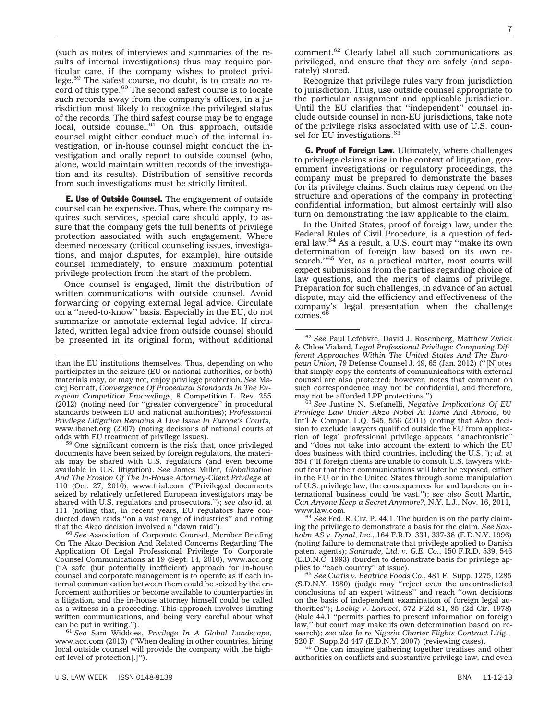(such as notes of interviews and summaries of the results of internal investigations) thus may require particular care, if the company wishes to protect privilege.59 The safest course, no doubt, is to create *no* record of this type.<sup>60</sup> The second safest course is to locate such records away from the company's offices, in a jurisdiction most likely to recognize the privileged status of the records. The third safest course may be to engage local, outside counsel.<sup>61</sup> On this approach, outside counsel might either conduct much of the internal investigation, or in-house counsel might conduct the investigation and orally report to outside counsel (who, alone, would maintain written records of the investigation and its results). Distribution of sensitive records from such investigations must be strictly limited.

**E. Use of Outside Counsel.** The engagement of outside counsel can be expensive. Thus, where the company requires such services, special care should apply, to assure that the company gets the full benefits of privilege protection associated with such engagement. Where deemed necessary (critical counseling issues, investigations, and major disputes, for example), hire outside counsel immediately, to ensure maximum potential privilege protection from the start of the problem.

Once counsel is engaged, limit the distribution of written communications with outside counsel. Avoid forwarding or copying external legal advice. Circulate on a ''need-to-know'' basis. Especially in the EU, do not summarize or annotate external legal advice. If circulated, written legal advice from outside counsel should be presented in its original form, without additional

comment.62 Clearly label all such communications as privileged, and ensure that they are safely (and separately) stored.

Recognize that privilege rules vary from jurisdiction to jurisdiction. Thus, use outside counsel appropriate to the particular assignment and applicable jurisdiction. Until the EU clarifies that ''independent'' counsel include outside counsel in non-EU jurisdictions, take note of the privilege risks associated with use of U.S. counsel for EU investigations.<sup>63</sup>

G. Proof of Foreign Law. Ultimately, where challenges to privilege claims arise in the context of litigation, government investigations or regulatory proceedings, the company must be prepared to demonstrate the bases for its privilege claims. Such claims may depend on the structure and operations of the company in protecting confidential information, but almost certainly will also turn on demonstrating the law applicable to the claim.

In the United States, proof of foreign law, under the Federal Rules of Civil Procedure, is a question of federal law.64 As a result, a U.S. court may ''make its own determination of foreign law based on its own research."<sup>65</sup> Yet, as a practical matter, most courts will expect submissions from the parties regarding choice of law questions, and the merits of claims of privilege. Preparation for such challenges, in advance of an actual dispute, may aid the efficiency and effectiveness of the company's legal presentation when the challenge comes.66

may not be afforded LPP protections.'').<br><sup>63</sup> *See* Justine N. Stefanelli, *Negative Implications Of EU Privilege Law Under Akzo Nobel At Home And Abroad*, 60 Int'l & Compar. L.Q. 545, 556 (2011) (noting that *Akzo* decision to exclude lawyers qualified outside the EU from application of legal professional privilege appears ''anachronistic'' and ''does not take into account the extent to which the EU does business with third countries, including the U.S.''); *id.* at 554 (''If foreign clients are unable to consult U.S. lawyers without fear that their communications will later be exposed, either in the EU or in the United States through some manipulation of U.S. privilege law, the consequences for and burdens on international business could be vast.''); *see also* Scott Martin, *Can Anyone Keep a Secret Anymore?*, N.Y. L.J., Nov. 16, 2011,

www.law.com. <sup>64</sup> *See* Fed. R. Civ. P. 44.1. The burden is on the party claiming the privilege to demonstrate a basis for the claim. *See Saxholm AS v. Dynal, Inc.*, 164 F.R.D. 331, 337-38 (E.D.N.Y. 1996) (noting failure to demonstrate that privilege applied to Danish patent agents); *Santrade, Ltd. v. G.E. Co.*, 150 F.R.D. 539, 546 (E.D.N.C. 1993) (burden to demonstrate basis for privilege ap-

<sup>65</sup> See Curtis v. Beatrice Foods Co., 481 F. Supp. 1275, 1285 (S.D.N.Y. 1980) (judge may ''reject even the uncontradicted conclusions of an expert witness'' and reach ''own decisions on the basis of independent examination of foreign legal authorities''); *Loebig v. Larucci*, 572 F.2d 81, 85 (2d Cir. 1978) (Rule 44.1 ''permits parties to present information on foreign law,'' but court may make its own determination based on research); *see also In re Nigeria Charter Flights Contract Litig.*,

<sup>66</sup> One can imagine gathering together treatises and other authorities on conflicts and substantive privilege law, and even

than the EU institutions themselves. Thus, depending on who participates in the seizure (EU or national authorities, or both) materials may, or may not, enjoy privilege protection. *See* Maciej Bernatt, *Convergence Of Procedural Standards In The European Competition Proceedings*, 8 Competition L. Rev. 255 (2012) (noting need for ''greater convergence'' in procedural standards between EU and national authorities); *Professional Privilege Litigation Remains A Live Issue In Europe's Courts*, www.ibanet.org (2007) (noting decisions of national courts at odds with EU treatment of privilege issues).

<sup>&</sup>lt;sup>59</sup> One significant concern is the risk that, once privileged documents have been seized by foreign regulators, the materials may be shared with U.S. regulators (and even become available in U.S. litigation). *See* James Miller, *Globalization And The Erosion Of The In-House Attorney-Client Privilege* at 110 (Oct. 27, 2010), www.trial.com (''Privileged documents seized by relatively unfettered European investigators may be shared with U.S. regulators and prosecutors.''); *see also* id. at 111 (noting that, in recent years, EU regulators have conducted dawn raids "on a vast range of industries" and noting that the Akzo decision involved a "dawn raid").

<sup>&</sup>lt;sup>60</sup> See Association of Corporate Counsel, Member Briefing On The Akzo Decision And Related Concerns Regarding The Application Of Legal Professional Privilege To Corporate Counsel Communications at 19 (Sept. 14, 2010), www.acc.org (''A safe (but potentially inefficient) approach for in-house counsel and corporate management is to operate as if each internal communication between them could be seized by the enforcement authorities or become available to counterparties in a litigation, and the in-house attorney himself could be called as a witness in a proceeding. This approach involves limiting written communications, and being very careful about what can be put in writing.").

<sup>&</sup>lt;sup>61</sup> See Sam Widdoes, Privilege In A Global Landscape, www.acc.com (2013) (''When dealing in other countries, hiring local outside counsel will provide the company with the highest level of protection[.]'').

<sup>62</sup> *See* Paul Lefebvre, David J. Rosenberg, Matthew Zwick & Chloe Vialard, *Legal Professional Privilege: Comparing Different Approaches Within The United States And The European Union*, 79 Defense Counsel J. 49, 65 (Jan. 2012) (''[N]otes that simply copy the contents of communications with external counsel are also protected; however, notes that comment on such correspondence may not be confidential, and therefore,